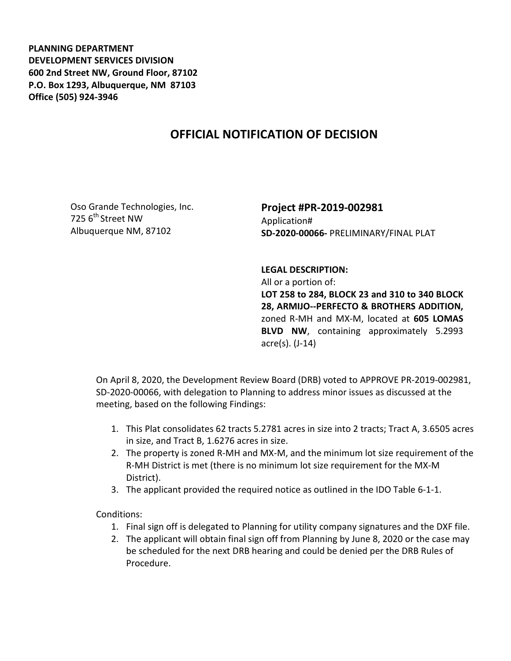**PLANNING DEPARTMENT DEVELOPMENT SERVICES DIVISION 600 2nd Street NW, Ground Floor, 87102 P.O. Box 1293, Albuquerque, NM 87103 Office (505) 924-3946** 

## **OFFICIAL NOTIFICATION OF DECISION**

Oso Grande Technologies, Inc. 725 6<sup>th</sup> Street NW Albuquerque NM, 87102

## **Project #PR-2019-002981**  Application# **SD-2020-00066-** PRELIMINARY/FINAL PLAT

## **LEGAL DESCRIPTION:**

All or a portion of: **LOT 258 to 284, BLOCK 23 and 310 to 340 BLOCK 28, ARMIJO--PERFECTO & BROTHERS ADDITION,**  zoned R-MH and MX-M, located at **605 LOMAS BLVD NW**, containing approximately 5.2993 acre(s). (J-14)

On April 8, 2020, the Development Review Board (DRB) voted to APPROVE PR-2019-002981, SD-2020-00066, with delegation to Planning to address minor issues as discussed at the meeting, based on the following Findings:

- 1. This Plat consolidates 62 tracts 5.2781 acres in size into 2 tracts; Tract A, 3.6505 acres in size, and Tract B, 1.6276 acres in size.
- 2. The property is zoned R-MH and MX-M, and the minimum lot size requirement of the R-MH District is met (there is no minimum lot size requirement for the MX-M District).
- 3. The applicant provided the required notice as outlined in the IDO Table 6-1-1.

Conditions:

- 1. Final sign off is delegated to Planning for utility company signatures and the DXF file.
- 2. The applicant will obtain final sign off from Planning by June 8, 2020 or the case may be scheduled for the next DRB hearing and could be denied per the DRB Rules of Procedure.